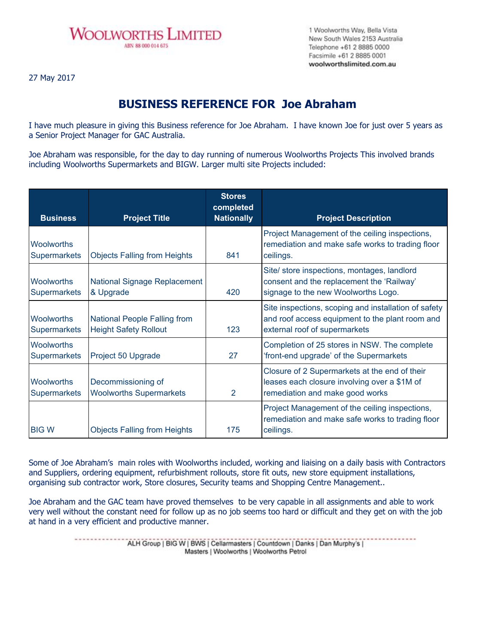

1 Woolworths Way, Bella Vista New South Wales 2153 Australia Telephone +61 2 8885 0000 Facsimile +61 2 8885 0001 woolworthslimited.com.au

27 May 2017

## **BUSINESS REFERENCE FOR Joe Abraham**

I have much pleasure in giving this Business reference for Joe Abraham. I have known Joe for just over 5 years as a Senior Project Manager for GAC Australia.

Joe Abraham was responsible, for the day to day running of numerous Woolworths Projects This involved brands including Woolworths Supermarkets and BIGW. Larger multi site Projects included:

| <b>Business</b>                          | <b>Project Title</b>                                                | <b>Stores</b><br>completed<br><b>Nationally</b> | <b>Project Description</b>                                                                                                               |
|------------------------------------------|---------------------------------------------------------------------|-------------------------------------------------|------------------------------------------------------------------------------------------------------------------------------------------|
| <b>Woolworths</b><br><b>Supermarkets</b> | <b>Objects Falling from Heights</b>                                 | 841                                             | Project Management of the ceiling inspections,<br>remediation and make safe works to trading floor<br>ceilings.                          |
| <b>Woolworths</b><br><b>Supermarkets</b> | National Signage Replacement<br>& Upgrade                           | 420                                             | Site/ store inspections, montages, landlord<br>consent and the replacement the 'Railway'<br>signage to the new Woolworths Logo.          |
| <b>Woolworths</b><br><b>Supermarkets</b> | <b>National People Falling from</b><br><b>Height Safety Rollout</b> | 123                                             | Site inspections, scoping and installation of safety<br>and roof access equipment to the plant room and<br>external roof of supermarkets |
| <b>Woolworths</b><br><b>Supermarkets</b> | Project 50 Upgrade                                                  | 27                                              | Completion of 25 stores in NSW. The complete<br>'front-end upgrade' of the Supermarkets                                                  |
| <b>Woolworths</b><br><b>Supermarkets</b> | Decommissioning of<br><b>Woolworths Supermarkets</b>                | 2                                               | Closure of 2 Supermarkets at the end of their<br>leases each closure involving over a \$1M of<br>remediation and make good works         |
| <b>BIG W</b>                             | <b>Objects Falling from Heights</b>                                 | 175                                             | Project Management of the ceiling inspections,<br>remediation and make safe works to trading floor<br>ceilings.                          |

Some of Joe Abraham's main roles with Woolworths included, working and liaising on a daily basis with Contractors and Suppliers, ordering equipment, refurbishment rollouts, store fit outs, new store equipment installations, organising sub contractor work, Store closures, Security teams and Shopping Centre Management..

Joe Abraham and the GAC team have proved themselves to be very capable in all assignments and able to work very well without the constant need for follow up as no job seems too hard or difficult and they get on with the job at hand in a very efficient and productive manner.

> -------------ALH Group | BIG W | BWS | Cellarmasters | Countdown | Danks | Dan Murphy's | Masters | Woolworths | Woolworths Petrol